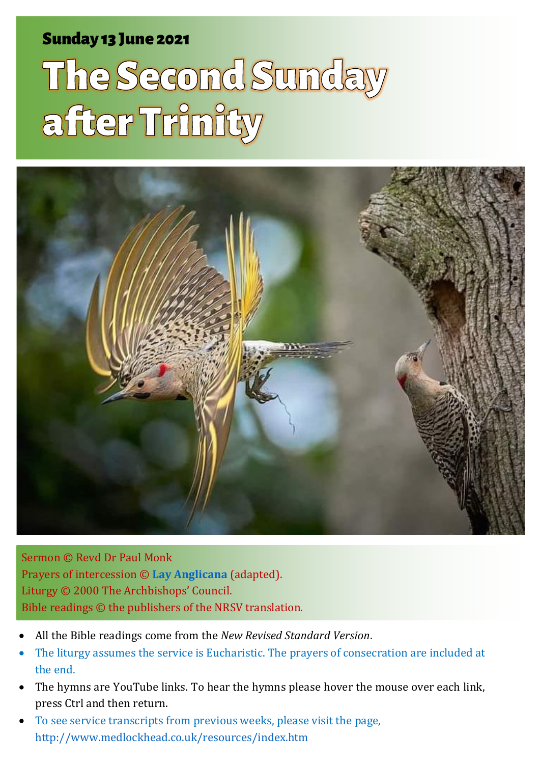## Sunday 13 June 2021 1 The Second Sunday 13 June 2021 1 The Second Sunday after Trinity and Sunday 1

# The Second Sunday after Trinity



Sermon © Revd Dr Paul Monk Prayers of intercession © **[Lay Anglicana](http://www.layanglicana.org/blog/2015/06/09/intercessions-for-trinity-2-year-b-proper-6-14-june-2015/)** (adapted). Liturgy © 2000 The Archbishops' Council. Bible readings © the publishers of the NRSV translation.

- All the Bible readings come from the *New Revised Standard Version*.
- The liturgy assumes the service is Eucharistic. The prayers of consecration are included at the end.
- The hymns are YouTube links. To hear the hymns please hover the mouse over each link, press Ctrl and then return.
- To see service transcripts from previous weeks, please visit the page, <http://www.medlockhead.co.uk/resources/index.htm>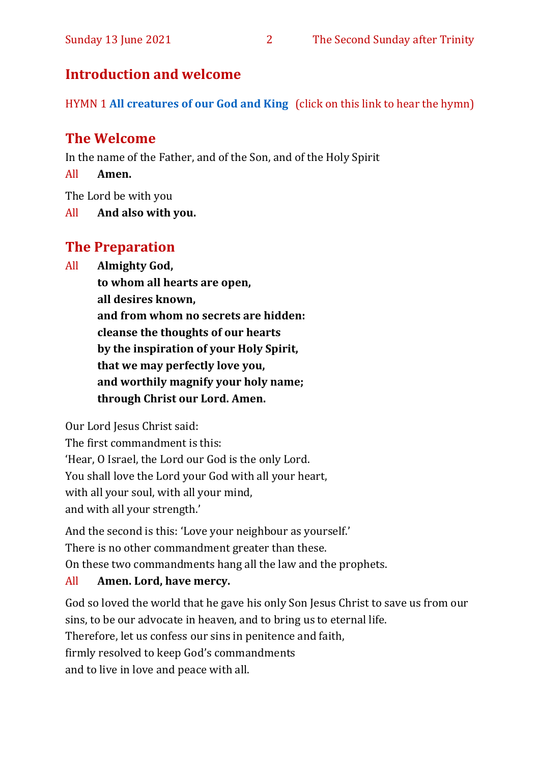#### **Introduction and welcome**

HYMN 1 **[All creatures of our God and King](https://www.youtube.com/watch?v=0d3gO6qDLNA)** (click on this link to hear the hymn)

#### **The Welcome**

In the name of the Father, and of the Son, and of the Holy Spirit

All **Amen.**

The Lord be with you

All **And also with you.**

#### **The Preparation**

All **Almighty God,**

**to whom all hearts are open, all desires known, and from whom no secrets are hidden: cleanse the thoughts of our hearts by the inspiration of your Holy Spirit, that we may perfectly love you, and worthily magnify your holy name; through Christ our Lord. Amen.**

Our Lord Jesus Christ said:

The first commandment is this: 'Hear, O Israel, the Lord our God is the only Lord. You shall love the Lord your God with all your heart, with all your soul, with all your mind, and with all your strength.'

And the second is this: 'Love your neighbour as yourself.' There is no other commandment greater than these. On these two commandments hang all the law and the prophets.

#### All **Amen. Lord, have mercy.**

God so loved the world that he gave his only Son Jesus Christ to save us from our sins, to be our advocate in heaven, and to bring us to eternal life. Therefore, let us confess our sins in penitence and faith, firmly resolved to keep God's commandments and to live in love and peace with all.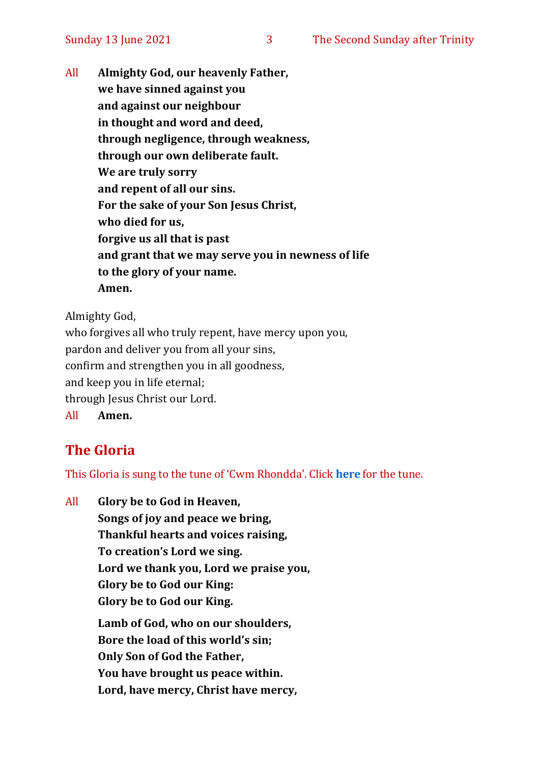All **Almighty God, our heavenly Father, we have sinned against you and against our neighbour in thought and word and deed, through negligence, through weakness, through our own deliberate fault. We are truly sorry and repent of all our sins. For the sake of your Son Jesus Christ, who died for us, forgive us all that is past and grant that we may serve you in newness of life to the glory of your name. Amen.**

Almighty God,

who forgives all who truly repent, have mercy upon you, pardon and deliver you from all your sins, confirm and strengthen you in all goodness, and keep you in life eternal; through Jesus Christ our Lord. All **Amen.**

#### **The Gloria**

This Gloria is sung to the tune of 'Cwm Rhondda'. Click **[here](about:blank)** for the tune.

All **Glory be to God in Heaven, Songs of joy and peace we bring, Thankful hearts and voices raising, To creation's Lord we sing. Lord we thank you, Lord we praise you, Glory be to God our King: Glory be to God our King. Lamb of God, who on our shoulders, Bore the load of this world's sin; Only Son of God the Father, You have brought us peace within. Lord, have mercy, Christ have mercy,**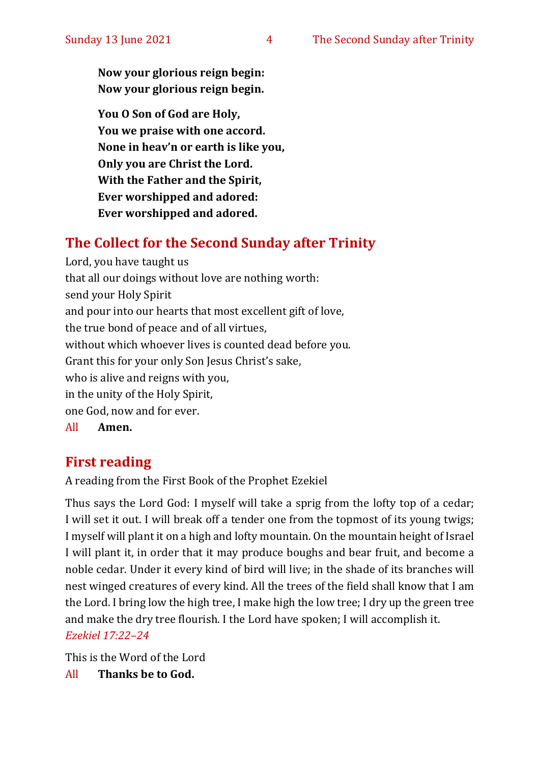**Now your glorious reign begin: Now your glorious reign begin.**

**You O Son of God are Holy, You we praise with one accord. None in heav'n or earth is like you, Only you are Christ the Lord. With the Father and the Spirit, Ever worshipped and adored: Ever worshipped and adored.**

#### **The Collect for the Second Sunday after Trinity**

Lord, you have taught us that all our doings without love are nothing worth: send your Holy Spirit and pour into our hearts that most excellent gift of love, the true bond of peace and of all virtues, without which whoever lives is counted dead before you. Grant this for your only Son Jesus Christ's sake, who is alive and reigns with you, in the unity of the Holy Spirit, one God, now and for ever. All **Amen.**

### **First reading**

A reading from the First Book of the Prophet Ezekiel

Thus says the Lord God: I myself will take a sprig from the lofty top of a cedar; I will set it out. I will break off a tender one from the topmost of its young twigs; I myself will plant it on a high and lofty mountain. On the mountain height of Israel I will plant it, in order that it may produce boughs and bear fruit, and become a noble cedar. Under it every kind of bird will live; in the shade of its branches will nest winged creatures of every kind. All the trees of the field shall know that I am the Lord. I bring low the high tree, I make high the low tree; I dry up the green tree and make the dry tree flourish. I the Lord have spoken; I will accomplish it. *Ezekiel 17:22–24*

This is the Word of the Lord

All **Thanks be to God.**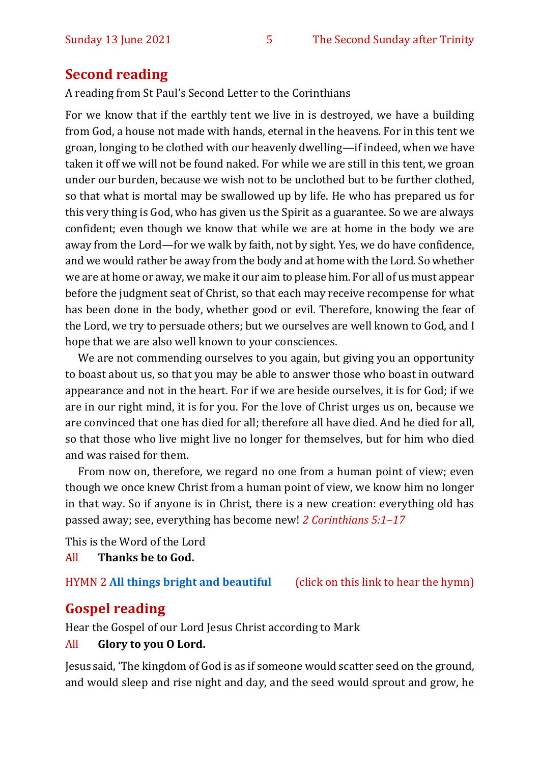#### **Second reading**

A reading from St Paul's Second Letter to the Corinthians

For we know that if the earthly tent we live in is destroyed, we have a building from God, a house not made with hands, eternal in the heavens. For in this tent we groan, longing to be clothed with our heavenly dwelling—if indeed, when we have taken it off we will not be found naked. For while we are still in this tent, we groan under our burden, because we wish not to be unclothed but to be further clothed, so that what is mortal may be swallowed up by life. He who has prepared us for this very thing is God, who has given us the Spirit as a guarantee. So we are always confident; even though we know that while we are at home in the body we are away from the Lord—for we walk by faith, not by sight. Yes, we do have confidence, and we would rather be away from the body and at home with the Lord. So whether we are at home or away, we make it our aim to please him. For all of us must appear before the judgment seat of Christ, so that each may receive recompense for what has been done in the body, whether good or evil. Therefore, knowing the fear of the Lord, we try to persuade others; but we ourselves are well known to God, and I hope that we are also well known to your consciences.

We are not commending ourselves to you again, but giving you an opportunity to boast about us, so that you may be able to answer those who boast in outward appearance and not in the heart. For if we are beside ourselves, it is for God; if we are in our right mind, it is for you. For the love of Christ urges us on, because we are convinced that one has died for all; therefore all have died. And he died for all, so that those who live might live no longer for themselves, but for him who died and was raised for them.

From now on, therefore, we regard no one from a human point of view; even though we once knew Christ from a human point of view, we know him no longer in that way. So if anyone is in Christ, there is a new creation: everything old has passed away; see, everything has become new! *2 Corinthians 5:1–17*

This is the Word of the Lord

All **Thanks be to God.**

#### HYMN 2 **[All things bright and beautiful](https://www.youtube.com/watch?v=iUnQMvwaXlc)** (click on this link to hear the hymn)

#### **Gospel reading**

Hear the Gospel of our Lord Jesus Christ according to Mark

#### All **Glory to you O Lord.**

Jesus said, 'The kingdom of God is as if someone would scatter seed on the ground, and would sleep and rise night and day, and the seed would sprout and grow, he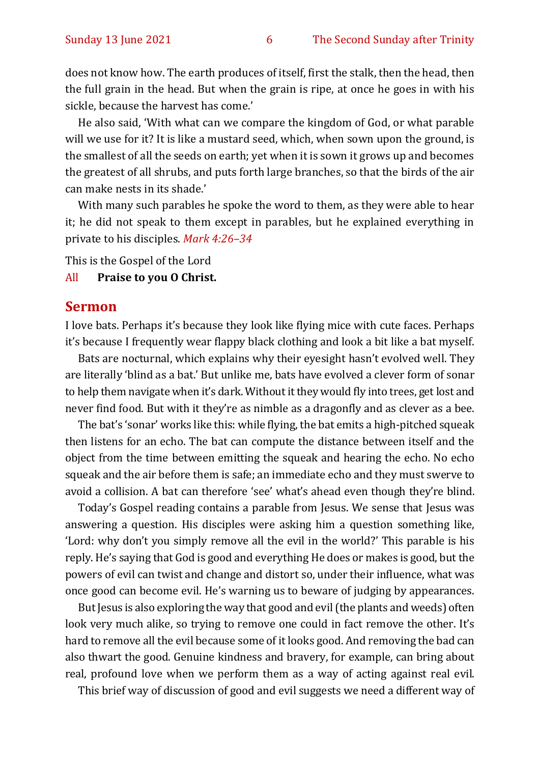does not know how. The earth produces of itself, first the stalk, then the head, then the full grain in the head. But when the grain is ripe, at once he goes in with his sickle, because the harvest has come.'

He also said, 'With what can we compare the kingdom of God, or what parable will we use for it? It is like a mustard seed, which, when sown upon the ground, is the smallest of all the seeds on earth; yet when it is sown it grows up and becomes the greatest of all shrubs, and puts forth large branches, so that the birds of the air can make nests in its shade.'

With many such parables he spoke the word to them, as they were able to hear it; he did not speak to them except in parables, but he explained everything in private to his disciples. *Mark 4:26–34*

This is the Gospel of the Lord

#### All **Praise to you O Christ.**

#### **Sermon**

I love bats. Perhaps it's because they look like flying mice with cute faces. Perhaps it's because I frequently wear flappy black clothing and look a bit like a bat myself.

Bats are nocturnal, which explains why their eyesight hasn't evolved well. They are literally 'blind as a bat.' But unlike me, bats have evolved a clever form of sonar to help them navigate when it's dark. Without it they would fly into trees, get lost and never find food. But with it they're as nimble as a dragonfly and as clever as a bee.

The bat's 'sonar' works like this: while flying, the bat emits a high-pitched squeak then listens for an echo. The bat can compute the distance between itself and the object from the time between emitting the squeak and hearing the echo. No echo squeak and the air before them is safe; an immediate echo and they must swerve to avoid a collision. A bat can therefore 'see' what's ahead even though they're blind.

Today's Gospel reading contains a parable from Jesus. We sense that Jesus was answering a question. His disciples were asking him a question something like, 'Lord: why don't you simply remove all the evil in the world?' This parable is his reply. He's saying that God is good and everything He does or makes is good, but the powers of evil can twist and change and distort so, under their influence, what was once good can become evil. He's warning us to beware of judging by appearances.

But Jesus is also exploring the way that good and evil (the plants and weeds) often look very much alike, so trying to remove one could in fact remove the other. It's hard to remove all the evil because some of it looks good. And removing the bad can also thwart the good. Genuine kindness and bravery, for example, can bring about real, profound love when we perform them as a way of acting against real evil.

This brief way of discussion of good and evil suggests we need a different way of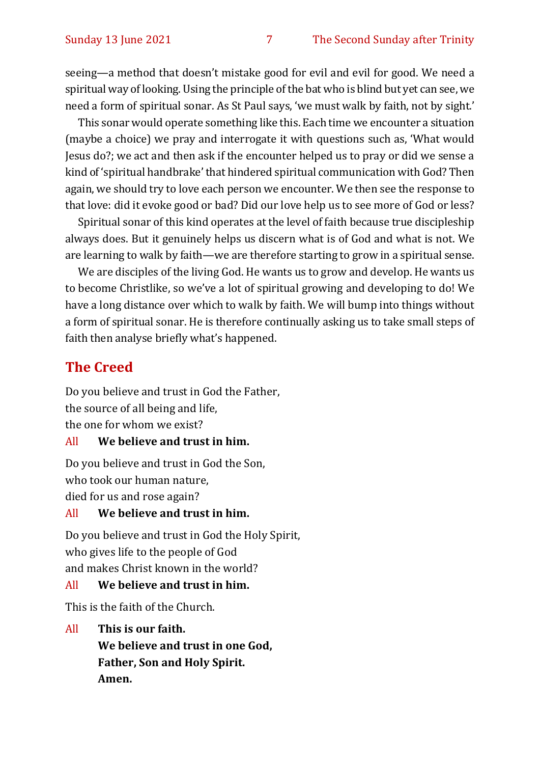seeing—a method that doesn't mistake good for evil and evil for good. We need a spiritual way of looking. Using the principle of the bat who is blind but yet can see, we need a form of spiritual sonar. As St Paul says, 'we must walk by faith, not by sight.'

This sonar would operate something like this. Each time we encounter a situation (maybe a choice) we pray and interrogate it with questions such as, 'What would Jesus do?; we act and then ask if the encounter helped us to pray or did we sense a kind of 'spiritual handbrake' that hindered spiritual communication with God? Then again, we should try to love each person we encounter. We then see the response to that love: did it evoke good or bad? Did our love help us to see more of God or less?

Spiritual sonar of this kind operates at the level of faith because true discipleship always does. But it genuinely helps us discern what is of God and what is not. We are learning to walk by faith—we are therefore starting to grow in a spiritual sense.

We are disciples of the living God. He wants us to grow and develop. He wants us to become Christlike, so we've a lot of spiritual growing and developing to do! We have a long distance over which to walk by faith. We will bump into things without a form of spiritual sonar. He is therefore continually asking us to take small steps of faith then analyse briefly what's happened.

#### **The Creed**

Do you believe and trust in God the Father, the source of all being and life, the one for whom we exist?

#### All **We believe and trust in him.**

Do you believe and trust in God the Son,

who took our human nature,

died for us and rose again?

#### All **We believe and trust in him.**

Do you believe and trust in God the Holy Spirit, who gives life to the people of God and makes Christ known in the world?

#### All **We believe and trust in him.**

This is the faith of the Church.

All **This is our faith. We believe and trust in one God, Father, Son and Holy Spirit. Amen.**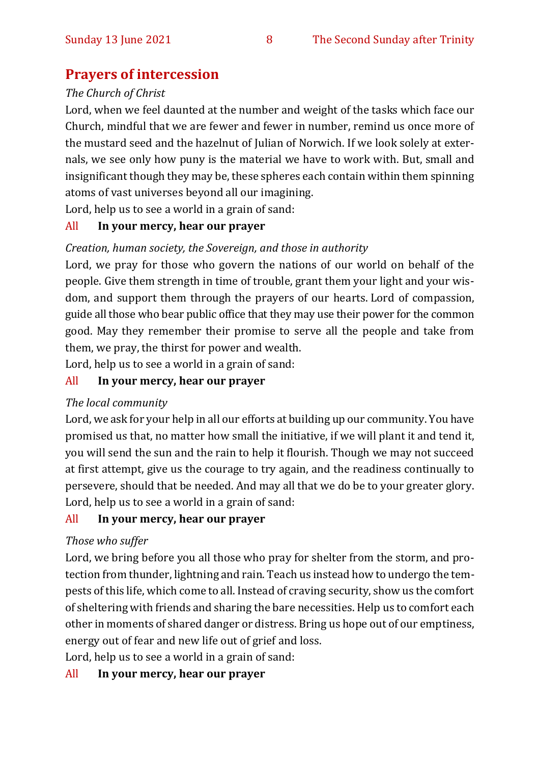#### **Prayers of intercession**

#### *The Church of Christ*

Lord, when we feel daunted at the number and weight of the tasks which face our Church, mindful that we are fewer and fewer in number, remind us once more of the mustard seed and the hazelnut of Julian of Norwich. If we look solely at externals, we see only how puny is the material we have to work with. But, small and insignificant though they may be, these spheres each contain within them spinning atoms of vast universes beyond all our imagining.

Lord, help us to see a world in a grain of sand:

#### All **In your mercy, hear our prayer**

#### *Creation, human society, the Sovereign, and those in authority*

Lord, we pray for those who govern the nations of our world on behalf of the people. Give them strength in time of trouble, grant them your light and your wisdom, and support them through the prayers of our hearts. Lord of compassion, guide all those who bear public office that they may use their power for the common good. May they remember their promise to serve all the people and take from them, we pray, the thirst for power and wealth.

Lord, help us to see a world in a grain of sand:

#### All **In your mercy, hear our prayer**

#### *The local community*

Lord, we ask for your help in all our efforts at building up our community. You have promised us that, no matter how small the initiative, if we will plant it and tend it, you will send the sun and the rain to help it flourish. Though we may not succeed at first attempt, give us the courage to try again, and the readiness continually to persevere, should that be needed. And may all that we do be to your greater glory. Lord, help us to see a world in a grain of sand:

#### All **In your mercy, hear our prayer**

#### *Those who suffer*

Lord, we bring before you all those who pray for shelter from the storm, and protection from thunder, lightning and rain. Teach us instead how to undergo the tempests of this life, which come to all. Instead of craving security, show us the comfort of sheltering with friends and sharing the bare necessities. Help us to comfort each other in moments of shared danger or distress. Bring us hope out of our emptiness, energy out of fear and new life out of grief and loss.

Lord, help us to see a world in a grain of sand:

#### All **In your mercy, hear our prayer**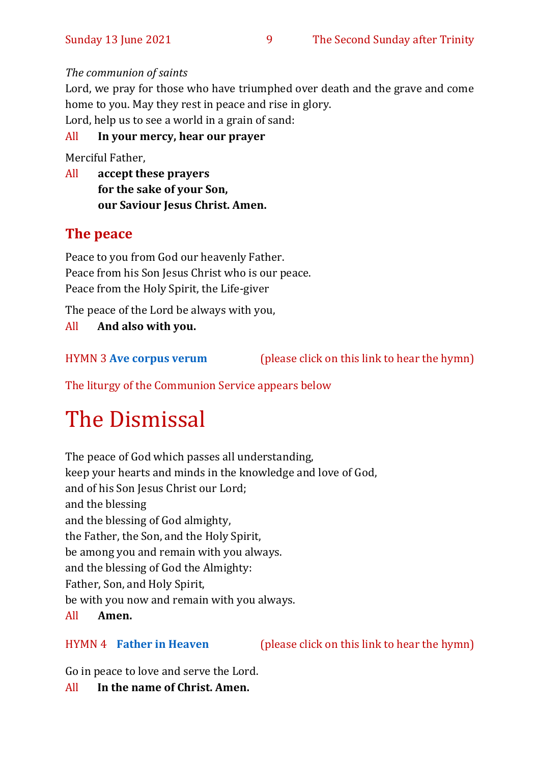#### *The communion of saints*

Lord, we pray for those who have triumphed over death and the grave and come home to you. May they rest in peace and rise in glory. Lord, help us to see a world in a grain of sand:

All **In your mercy, hear our prayer**

Merciful Father,

All **accept these prayers for the sake of your Son, our Saviour Jesus Christ. Amen.**

#### **The peace**

Peace to you from God our heavenly Father. Peace from his Son Jesus Christ who is our peace. Peace from the Holy Spirit, the Life-giver

The peace of the Lord be always with you,

All **And also with you.**

HYMN 3 **[Ave corpus verum](https://www.youtube.com/watch?v=IrQzWuK7XY4)** (please click on this link to hear the hymn)

The liturgy of the Communion Service appears below

# The Dismissal

The peace of God which passes all understanding, keep your hearts and minds in the knowledge and love of God, and of his Son Jesus Christ our Lord; and the blessing and the blessing of God almighty, the Father, the Son, and the Holy Spirit, be among you and remain with you always. and the blessing of God the Almighty: Father, Son, and Holy Spirit, be with you now and remain with you always. All **Amen.**

HYMN 4 **[Father in Heaven](https://www.youtube.com/watch?v=BamB290iJU0)** (please click on this link to hear the hymn)

Go in peace to love and serve the Lord.

#### All **In the name of Christ. Amen.**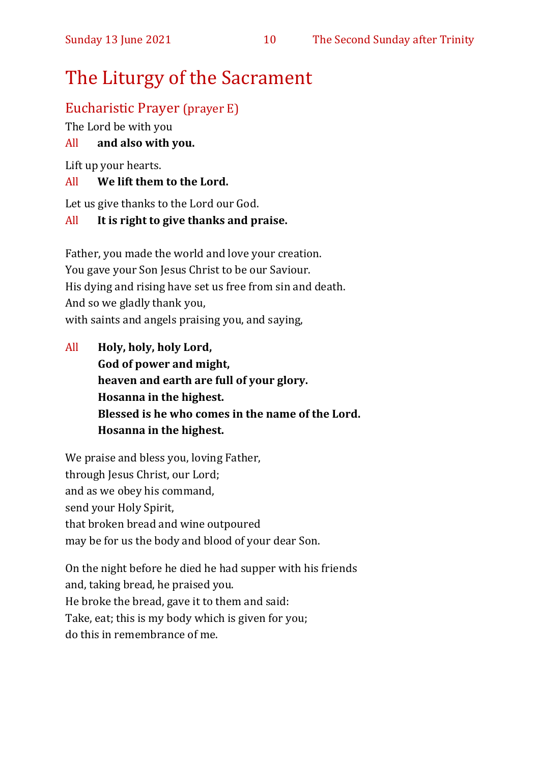## The Liturgy of the Sacrament

#### Eucharistic Prayer (prayer E)

The Lord be with you

#### All **and also with you.**

Lift up your hearts.

#### All **We lift them to the Lord.**

Let us give thanks to the Lord our God.

#### All **It is right to give thanks and praise.**

Father, you made the world and love your creation. You gave your Son Jesus Christ to be our Saviour. His dying and rising have set us free from sin and death. And so we gladly thank you, with saints and angels praising you, and saying,

All **Holy, holy, holy Lord, God of power and might, heaven and earth are full of your glory. Hosanna in the highest. Blessed is he who comes in the name of the Lord. Hosanna in the highest.**

We praise and bless you, loving Father, through Jesus Christ, our Lord; and as we obey his command, send your Holy Spirit, that broken bread and wine outpoured may be for us the body and blood of your dear Son.

On the night before he died he had supper with his friends and, taking bread, he praised you. He broke the bread, gave it to them and said: Take, eat; this is my body which is given for you; do this in remembrance of me.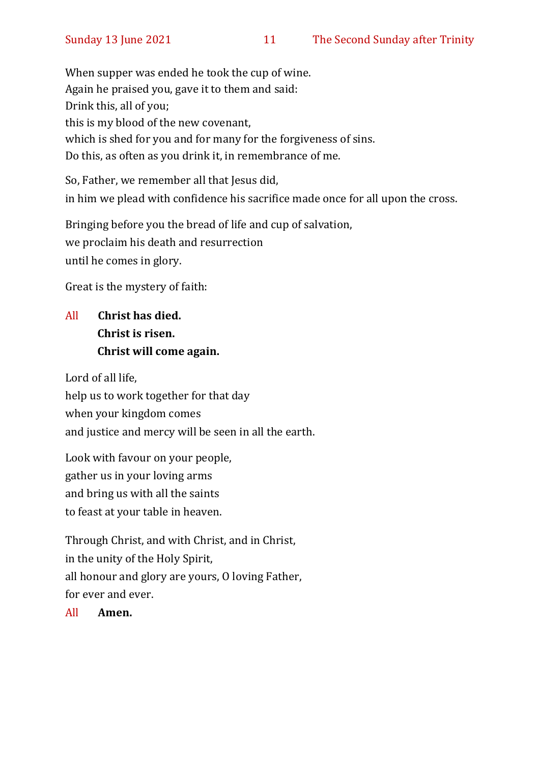When supper was ended he took the cup of wine. Again he praised you, gave it to them and said: Drink this, all of you; this is my blood of the new covenant, which is shed for you and for many for the forgiveness of sins. Do this, as often as you drink it, in remembrance of me.

So, Father, we remember all that Jesus did, in him we plead with confidence his sacrifice made once for all upon the cross.

Bringing before you the bread of life and cup of salvation, we proclaim his death and resurrection until he comes in glory.

Great is the mystery of faith:

### All **Christ has died. Christ is risen. Christ will come again.**

Lord of all life, help us to work together for that day when your kingdom comes and justice and mercy will be seen in all the earth.

Look with favour on your people, gather us in your loving arms and bring us with all the saints to feast at your table in heaven.

Through Christ, and with Christ, and in Christ, in the unity of the Holy Spirit, all honour and glory are yours, O loving Father, for ever and ever.

All **Amen.**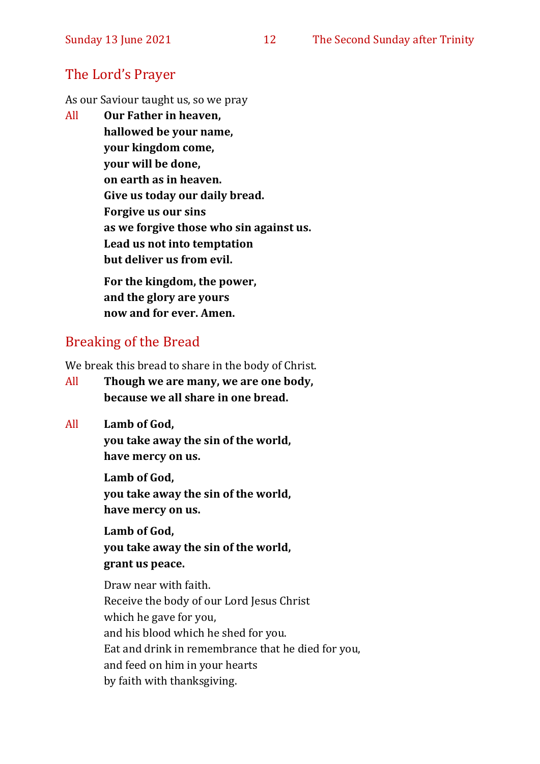#### The Lord's Prayer

As our Saviour taught us, so we pray

All **Our Father in heaven, hallowed be your name, your kingdom come, your will be done, on earth as in heaven. Give us today our daily bread. Forgive us our sins as we forgive those who sin against us. Lead us not into temptation but deliver us from evil. For the kingdom, the power,** 

**and the glory are yours now and for ever. Amen.**

#### Breaking of the Bread

We break this bread to share in the body of Christ.

- All **Though we are many, we are one body, because we all share in one bread.**
- All **Lamb of God, you take away the sin of the world, have mercy on us.**

**Lamb of God,** 

**you take away the sin of the world, have mercy on us.**

**Lamb of God, you take away the sin of the world, grant us peace.**

Draw near with faith. Receive the body of our Lord Jesus Christ which he gave for you, and his blood which he shed for you. Eat and drink in remembrance that he died for you, and feed on him in your hearts by faith with thanksgiving.